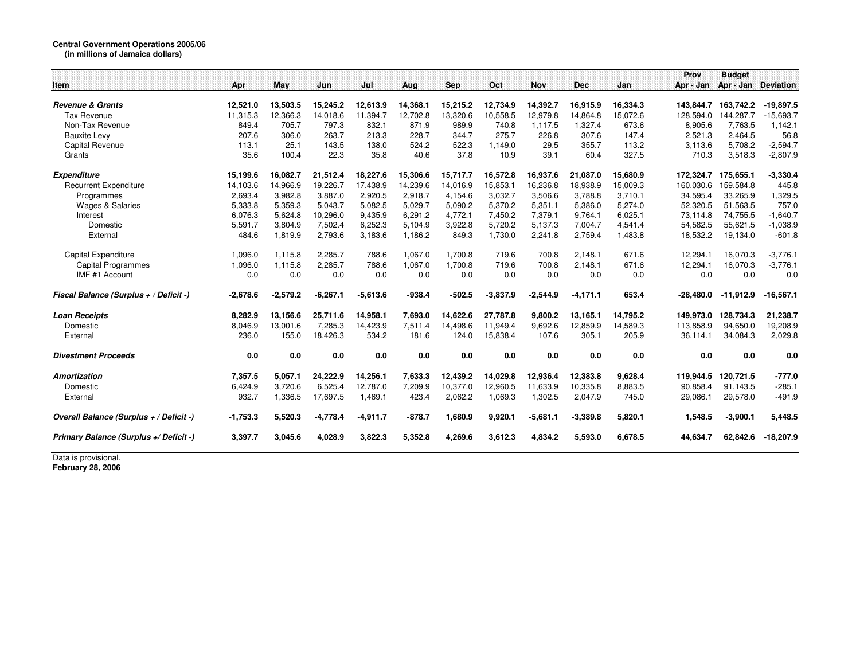## **Central Government Operations 2005/06 (in millions of Jamaica dollars)**

|                                         |            |            |            |            |          |            |            |            |            |          | Prov        | <b>Budget</b> |                  |
|-----------------------------------------|------------|------------|------------|------------|----------|------------|------------|------------|------------|----------|-------------|---------------|------------------|
| Item                                    | Apr        | May        | Jun        | Jul        | Aug      | <b>Sep</b> | Oct        | <b>Nov</b> | <b>Dec</b> | Jan      | Apr - Jan   | Apr - Jan     | <b>Deviation</b> |
|                                         |            |            |            |            |          |            |            |            |            |          |             |               |                  |
| <b>Revenue &amp; Grants</b>             | 12,521.0   | 13,503.5   | 15,245.2   | 12,613.9   | 14,368.1 | 15,215.2   | 12,734.9   | 14,392.7   | 16,915.9   | 16,334.3 | 143,844.7   | 163,742.2     | $-19,897.5$      |
| <b>Tax Revenue</b>                      | 11,315.3   | 12,366.3   | 14,018.6   | 11,394.7   | 12,702.8 | 13,320.6   | 10,558.5   | 12,979.8   | 14,864.8   | 15,072.6 | 128,594.0   | 144,287.7     | $-15,693.7$      |
| Non-Tax Revenue                         | 849.4      | 705.7      | 797.3      | 832.1      | 871.9    | 989.9      | 740.8      | 1,117.5    | 1,327.4    | 673.6    | 8,905.6     | 7,763.5       | 1,142.1          |
| <b>Bauxite Levy</b>                     | 207.6      | 306.0      | 263.7      | 213.3      | 228.7    | 344.7      | 275.7      | 226.8      | 307.6      | 147.4    | 2,521.3     | 2,464.5       | 56.8             |
| Capital Revenue                         | 113.1      | 25.1       | 143.5      | 138.0      | 524.2    | 522.3      | 1,149.0    | 29.5       | 355.7      | 113.2    | 3,113.6     | 5,708.2       | $-2,594.7$       |
| Grants                                  | 35.6       | 100.4      | 22.3       | 35.8       | 40.6     | 37.8       | 10.9       | 39.1       | 60.4       | 327.5    | 710.3       | 3,518.3       | $-2,807.9$       |
| <b>Expenditure</b>                      | 15,199.6   | 16,082.7   | 21,512.4   | 18,227.6   | 15,306.6 | 15,717.7   | 16,572.8   | 16,937.6   | 21,087.0   | 15,680.9 | 172,324.7   | 175,655.1     | $-3,330.4$       |
| <b>Recurrent Expenditure</b>            | 14,103.6   | 14,966.9   | 19,226.7   | 17.438.9   | 14,239.6 | 14,016.9   | 15,853.1   | 16,236.8   | 18,938.9   | 15,009.3 | 160.030.6   | 159.584.8     | 445.8            |
| Programmes                              | 2,693.4    | 3,982.8    | 3,887.0    | 2,920.5    | 2,918.7  | 4,154.6    | 3,032.7    | 3,506.6    | 3,788.8    | 3,710.1  | 34,595.4    | 33,265.9      | 1,329.5          |
| Wages & Salaries                        | 5,333.8    | 5,359.3    | 5,043.7    | 5.082.5    | 5,029.7  | 5,090.2    | 5,370.2    | 5,351.1    | 5.386.0    | 5,274.0  | 52,320.5    | 51,563.5      | 757.0            |
| Interest                                | 6,076.3    | 5,624.8    | 10,296.0   | 9,435.9    | 6,291.2  | 4,772.1    | 7,450.2    | 7,379.1    | 9,764.1    | 6,025.1  | 73,114.8    | 74,755.5      | $-1,640.7$       |
| Domestic                                | 5,591.7    | 3,804.9    | 7,502.4    | 6,252.3    | 5,104.9  | 3,922.8    | 5,720.2    | 5,137.3    | 7,004.7    | 4,541.4  | 54,582.5    | 55,621.5      | $-1,038.9$       |
| External                                | 484.6      | 1,819.9    | 2,793.6    | 3,183.6    | 1,186.2  | 849.3      | 1,730.0    | 2,241.8    | 2,759.4    | 1,483.8  | 18,532.2    | 19,134.0      | $-601.8$         |
| Capital Expenditure                     | 1,096.0    | 1,115.8    | 2,285.7    | 788.6      | 1,067.0  | 1.700.8    | 719.6      | 700.8      | 2.148.1    | 671.6    | 12,294.1    | 16,070.3      | $-3,776.1$       |
| Capital Programmes                      | 1.096.0    | 1.115.8    | 2,285.7    | 788.6      | 1.067.0  | 1.700.8    | 719.6      | 700.8      | 2.148.1    | 671.6    | 12.294.1    | 16.070.3      | $-3,776.1$       |
| IMF #1 Account                          | 0.0        | 0.0        | 0.0        | 0.0        | 0.0      | 0.0        | 0.0        | 0.0        | 0.0        | 0.0      | 0.0         | 0.0           | 0.0              |
| Fiscal Balance (Surplus + / Deficit -)  | $-2,678.6$ | $-2,579.2$ | $-6,267.1$ | $-5,613.6$ | $-938.4$ | $-502.5$   | $-3,837.9$ | $-2,544.9$ | $-4,171.1$ | 653.4    | $-28,480.0$ | $-11,912.9$   | $-16,567.1$      |
| <b>Loan Receipts</b>                    | 8,282.9    | 13,156.6   | 25,711.6   | 14,958.1   | 7,693.0  | 14,622.6   | 27,787.8   | 9,800.2    | 13,165.1   | 14,795.2 | 149,973.0   | 128,734.3     | 21,238.7         |
| Domestic                                | 8,046.9    | 13,001.6   | 7,285.3    | 14,423.9   | 7,511.4  | 14,498.6   | 11,949.4   | 9,692.6    | 12,859.9   | 14,589.3 | 113,858.9   | 94,650.0      | 19,208.9         |
| External                                | 236.0      | 155.0      | 18,426.3   | 534.2      | 181.6    | 124.0      | 15,838.4   | 107.6      | 305.1      | 205.9    | 36,114.1    | 34,084.3      | 2,029.8          |
| <b>Divestment Proceeds</b>              | 0.0        | 0.0        | 0.0        | 0.0        | 0.0      | 0.0        | 0.0        | 0.0        | 0.0        | 0.0      | 0.0         | 0.0           | 0.0              |
| <b>Amortization</b>                     | 7,357.5    | 5,057.1    | 24,222.9   | 14,256.1   | 7,633.3  | 12,439.2   | 14,029.8   | 12,936.4   | 12,383.8   | 9,628.4  | 119,944.5   | 120,721.5     | $-777.0$         |
| Domestic                                | 6.424.9    | 3.720.6    | 6.525.4    | 12.787.0   | 7.209.9  | 10.377.0   | 12,960.5   | 11,633.9   | 10,335.8   | 8,883.5  | 90.858.4    | 91.143.5      | $-285.1$         |
| External                                | 932.7      | 1.336.5    | 17,697.5   | 1.469.1    | 423.4    | 2,062.2    | 1,069.3    | 1,302.5    | 2,047.9    | 745.0    | 29,086.1    | 29,578.0      | $-491.9$         |
| Overall Balance (Surplus + / Deficit -) | $-1,753.3$ | 5,520.3    | $-4,778.4$ | $-4,911.7$ | $-878.7$ | 1,680.9    | 9,920.1    | $-5,681.1$ | $-3,389.8$ | 5,820.1  | 1,548.5     | $-3,900.1$    | 5,448.5          |
| Primary Balance (Surplus +/ Deficit -)  | 3.397.7    | 3.045.6    | 4,028.9    | 3,822.3    | 5,352.8  | 4,269.6    | 3,612.3    | 4,834.2    | 5,593.0    | 6,678.5  | 44,634.7    | 62,842.6      | $-18,207.9$      |

Data is provisional. **February 28, 2006**